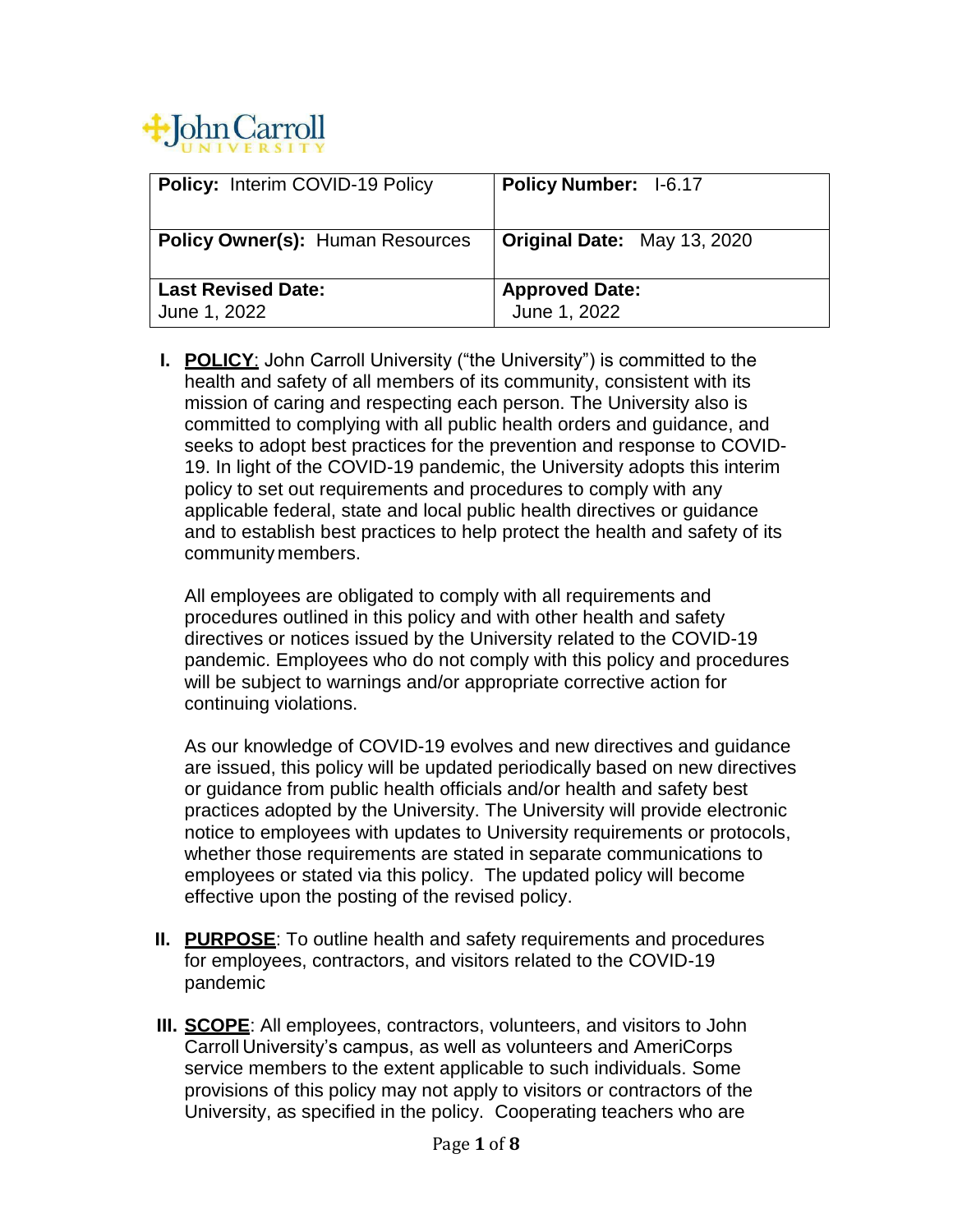

| <b>Policy: Interim COVID-19 Policy</b>    | <b>Policy Number: I-6.17</b>          |
|-------------------------------------------|---------------------------------------|
| <b>Policy Owner(s): Human Resources</b>   | <b>Original Date: May 13, 2020</b>    |
| <b>Last Revised Date:</b><br>June 1, 2022 | <b>Approved Date:</b><br>June 1, 2022 |

**I. POLICY**: John Carroll University ("the University") is committed to the health and safety of all members of its community, consistent with its mission of caring and respecting each person. The University also is committed to complying with all public health orders and guidance, and seeks to adopt best practices for the prevention and response to COVID-19. In light of the COVID-19 pandemic, the University adopts this interim policy to set out requirements and procedures to comply with any applicable federal, state and local public health directives or guidance and to establish best practices to help protect the health and safety of its community members.

All employees are obligated to comply with all requirements and procedures outlined in this policy and with other health and safety directives or notices issued by the University related to the COVID-19 pandemic. Employees who do not comply with this policy and procedures will be subject to warnings and/or appropriate corrective action for continuing violations.

As our knowledge of COVID-19 evolves and new directives and guidance are issued, this policy will be updated periodically based on new directives or guidance from public health officials and/or health and safety best practices adopted by the University. The University will provide electronic notice to employees with updates to University requirements or protocols, whether those requirements are stated in separate communications to employees or stated via this policy. The updated policy will become effective upon the posting of the revised policy.

- **II. PURPOSE**: To outline health and safety requirements and procedures for employees, contractors, and visitors related to the COVID-19 pandemic
- **III. SCOPE**: All employees, contractors, volunteers, and visitors to John Carroll University's campus, as well as volunteers and AmeriCorps service members to the extent applicable to such individuals. Some provisions of this policy may not apply to visitors or contractors of the University, as specified in the policy. Cooperating teachers who are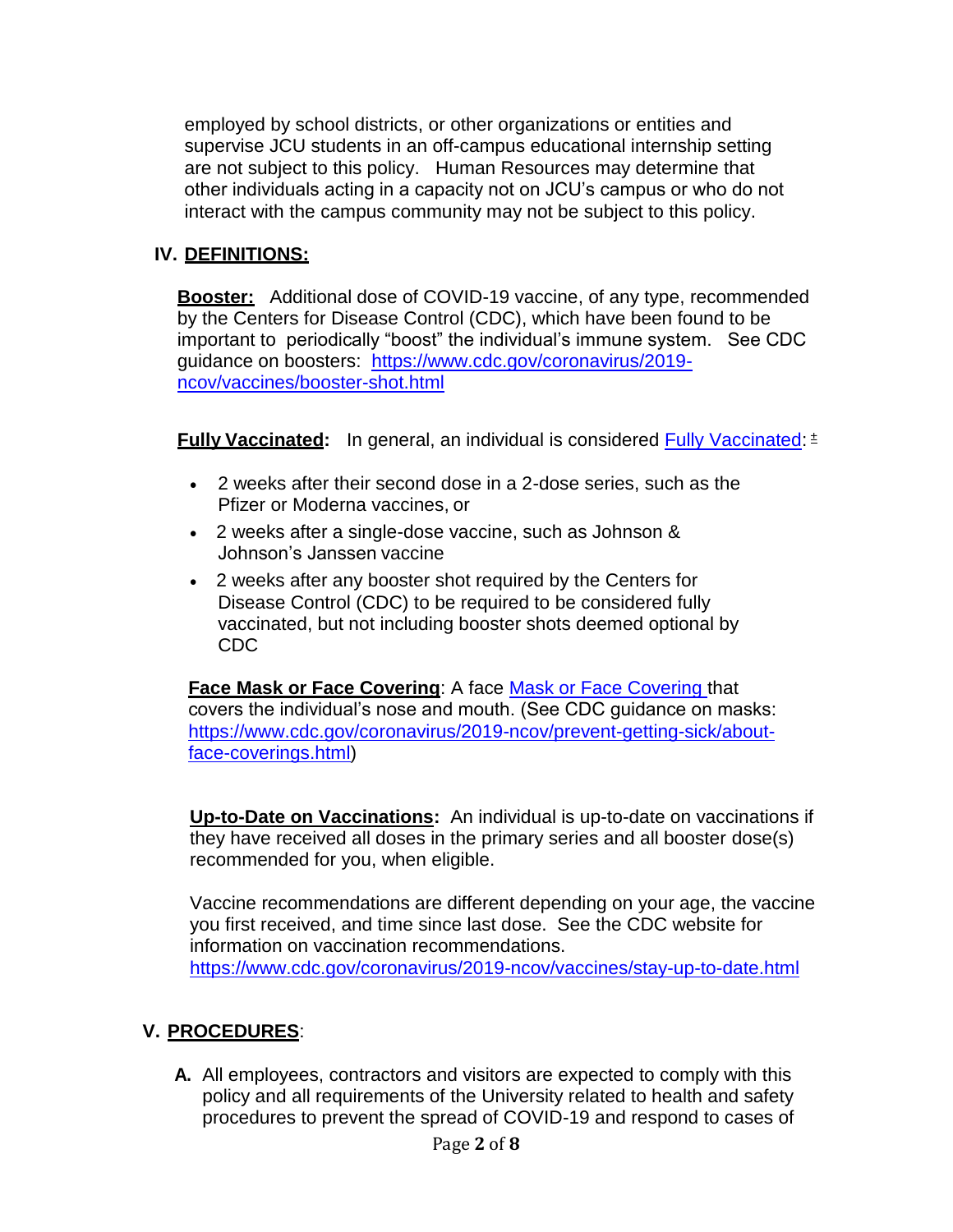employed by school districts, or other organizations or entities and supervise JCU students in an off-campus educational internship setting are not subject to this policy. Human Resources may determine that other individuals acting in a capacity not on JCU's campus or who do not interact with the campus community may not be subject to this policy.

#### <span id="page-1-0"></span>**IV. DEFINITIONS:**

**Booster:** Additional dose of COVID-19 vaccine, of any type, recommended by the Centers for Disease Control (CDC), which have been found to be important to periodically "boost" the individual's immune system. See CDC guidance on boosters: [https://www.cdc.gov/coronavirus/2019](https://www.cdc.gov/coronavirus/2019-ncov/vaccines/booster-shot.html) [ncov/vaccines/booster-shot.html](https://www.cdc.gov/coronavirus/2019-ncov/vaccines/booster-shot.html)

<span id="page-1-2"></span>**Fully Vaccinated:** In general, an individual is considered [Fully Vaccinated:](#page-1-0) <sup>[±](https://www.cdc.gov/coronavirus/2019-ncov/vaccines/fully-vaccinated.html#footnote)</sup>

- 2 weeks after their second dose in a 2-dose series, such as the Pfizer or Moderna vaccines, or
- 2 weeks after a single-dose vaccine, such as Johnson & Johnson's Janssen vaccine
- 2 weeks after any booster shot required by the Centers for Disease Control (CDC) to be required to be considered fully vaccinated, but not including booster shots deemed optional by CDC

<span id="page-1-1"></span>**Face [Mask or Face Covering](#page-1-1)**: A face [Mask or Face Covering](#page-1-1) that covers the individual's nose and mouth. (See CDC guidance on masks: [https://www.cdc.gov/coronavirus/2019-ncov/prevent-getting-sick/about](https://www.cdc.gov/coronavirus/2019-ncov/prevent-getting-sick/about-face-coverings.html)[face-coverings.html\)](https://www.cdc.gov/coronavirus/2019-ncov/prevent-getting-sick/about-face-coverings.html)

<span id="page-1-3"></span>**Up-to-Date on Vaccinations:** An individual is up-to-date on vaccinations if they have received all doses in the primary series and all booster dose(s) recommended for you, when eligible.

Vaccine recommendations are different depending on your age, the vaccine you first received, and time since last dose. See the CDC website for information on vaccination recommendations. <https://www.cdc.gov/coronavirus/2019-ncov/vaccines/stay-up-to-date.html>

## **V. PROCEDURES**:

**A.** All employees, contractors and visitors are expected to comply with this policy and all requirements of the University related to health and safety procedures to prevent the spread of COVID-19 and respond to cases of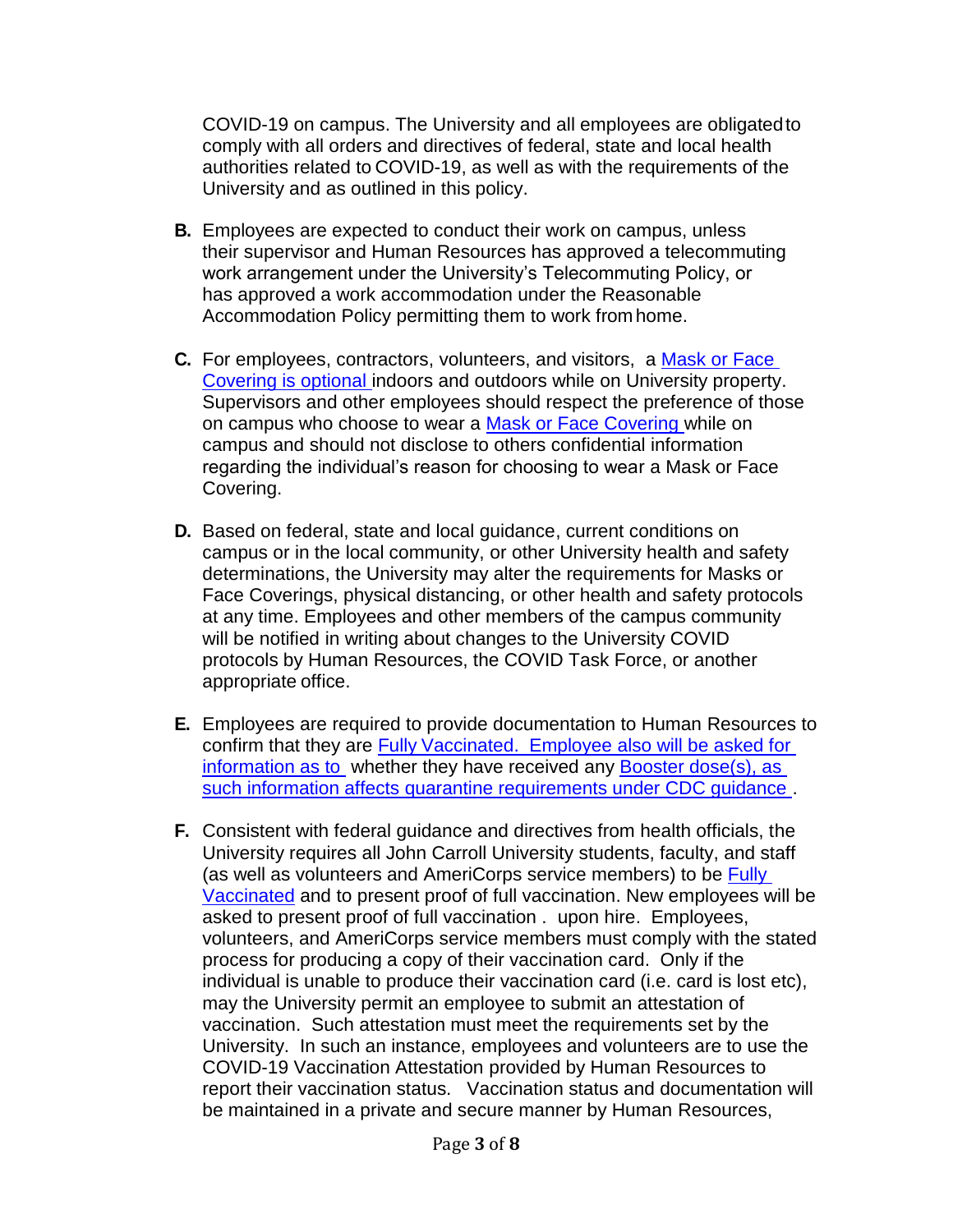COVID-19 on campus. The University and all employees are obligatedto comply with all orders and directives of federal, state and local health authorities related to COVID-19, as well as with the requirements of the University and as outlined in this policy.

- **B.** Employees are expected to conduct their work on campus, unless their supervisor and Human Resources has approved a telecommuting work arrangement under the University's Telecommuting Policy, or has approved a work accommodation under the Reasonable Accommodation Policy permitting them to work from home.
- **C.** For employees, contractors, volunteers, and visitors, a [Mask or Face](#page-6-0)  [Covering i](#page-6-0)s optional indoors and outdoors while on University property. Supervisors and other employees should respect the preference of those on campus who choose to wear a [Mask or Face Covering w](#page-1-1)hile on campus and should not disclose to others confidential information regarding the individual's reason for choosing to wear a Mask or Face Covering.
- **D.** Based on federal, state and local guidance, current conditions on campus or in the local community, or other University health and safety determinations, the University may alter the requirements for Masks or Face Coverings, physical distancing, or other health and safety protocols at any time. Employees and other members of the campus community will be notified in writing about changes to the University COVID protocols by Human Resources, the COVID Task Force, or another appropriate office.
- **E.** Employees are required to provide documentation to Human Resources to confirm that they are [Fully](#page-1-0) [Vaccinated.](#page-1-0) Employee also will be asked for information as to whether they have received any [Booster](#page-1-0) dose(s), as such information affects quarantine requirements under CDC quidance.
- **F.** Consistent with federal guidance and directives from health officials, the University requires all John Carroll University students, faculty, and staff (as well as volunteers and AmeriCorps service members) to be Fully [Vaccinated](#page-1-2) and to present proof of full vaccination. New employees will be asked to present proof of full vaccination . upon hire. Employees, volunteers, and AmeriCorps service members must comply with the stated process for producing a copy of their vaccination card. Only if the individual is unable to produce their vaccination card (i.e. card is lost etc), may the University permit an employee to submit an attestation of vaccination. Such attestation must meet the requirements set by the University. In such an instance, employees and volunteers are to use the COVID-19 Vaccination Attestation provided by Human Resources to report their vaccination status. Vaccination status and documentation will be maintained in a private and secure manner by Human Resources,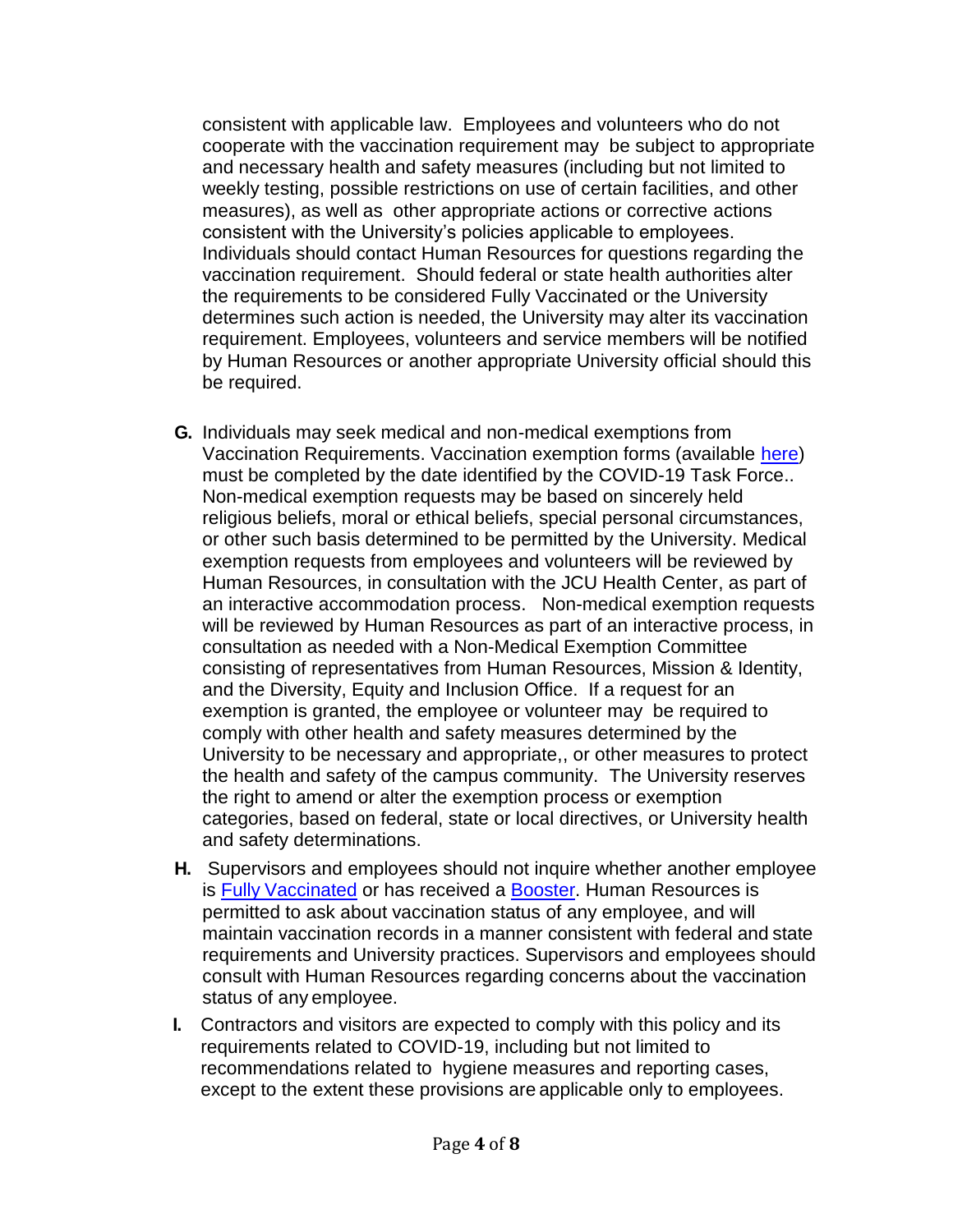consistent with applicable law. Employees and volunteers who do not cooperate with the vaccination requirement may be subject to appropriate and necessary health and safety measures (including but not limited to weekly testing, possible restrictions on use of certain facilities, and other measures), as well as other appropriate actions or corrective actions consistent with the University's policies applicable to employees. Individuals should contact Human Resources for questions regarding the vaccination requirement. Should federal or state health authorities alter the requirements to be considered Fully Vaccinated or the University determines such action is needed, the University may alter its vaccination requirement. Employees, volunteers and service members will be notified by Human Resources or another appropriate University official should this be required.

- **G.** Individuals may seek medical and non-medical exemptions from Vaccination Requirements. Vaccination exemption forms (available [here\)](https://jcu.edu/2021-plan) must be completed by the date identified by the COVID-19 Task Force.. Non-medical exemption requests may be based on sincerely held religious beliefs, moral or ethical beliefs, special personal circumstances, or other such basis determined to be permitted by the University. Medical exemption requests from employees and volunteers will be reviewed by Human Resources, in consultation with the JCU Health Center, as part of an interactive accommodation process. Non-medical exemption requests will be reviewed by Human Resources as part of an interactive process, in consultation as needed with a Non-Medical Exemption Committee consisting of representatives from Human Resources, Mission & Identity, and the Diversity, Equity and Inclusion Office. If a request for an exemption is granted, the employee or volunteer may be required to comply with other health and safety measures determined by the University to be necessary and appropriate,, or other measures to protect the health and safety of the campus community. The University reserves the right to amend or alter the exemption process or exemption categories, based on federal, state or local directives, or University health and safety determinations.
- **H.** Supervisors and employees should not inquire whether another employee is [Fully](#page-1-0) [Vaccinated](#page-1-0) or has received a [Booster.](#page-1-0) Human Resources is permitted to ask about vaccination status of any employee, and will maintain vaccination records in a manner consistent with federal and state requirements and University practices. Supervisors and employees should consult with Human Resources regarding concerns about the vaccination status of any employee.
- **I.** Contractors and visitors are expected to comply with this policy and its requirements related to COVID-19, including but not limited to recommendations related to hygiene measures and reporting cases, except to the extent these provisions are applicable only to employees.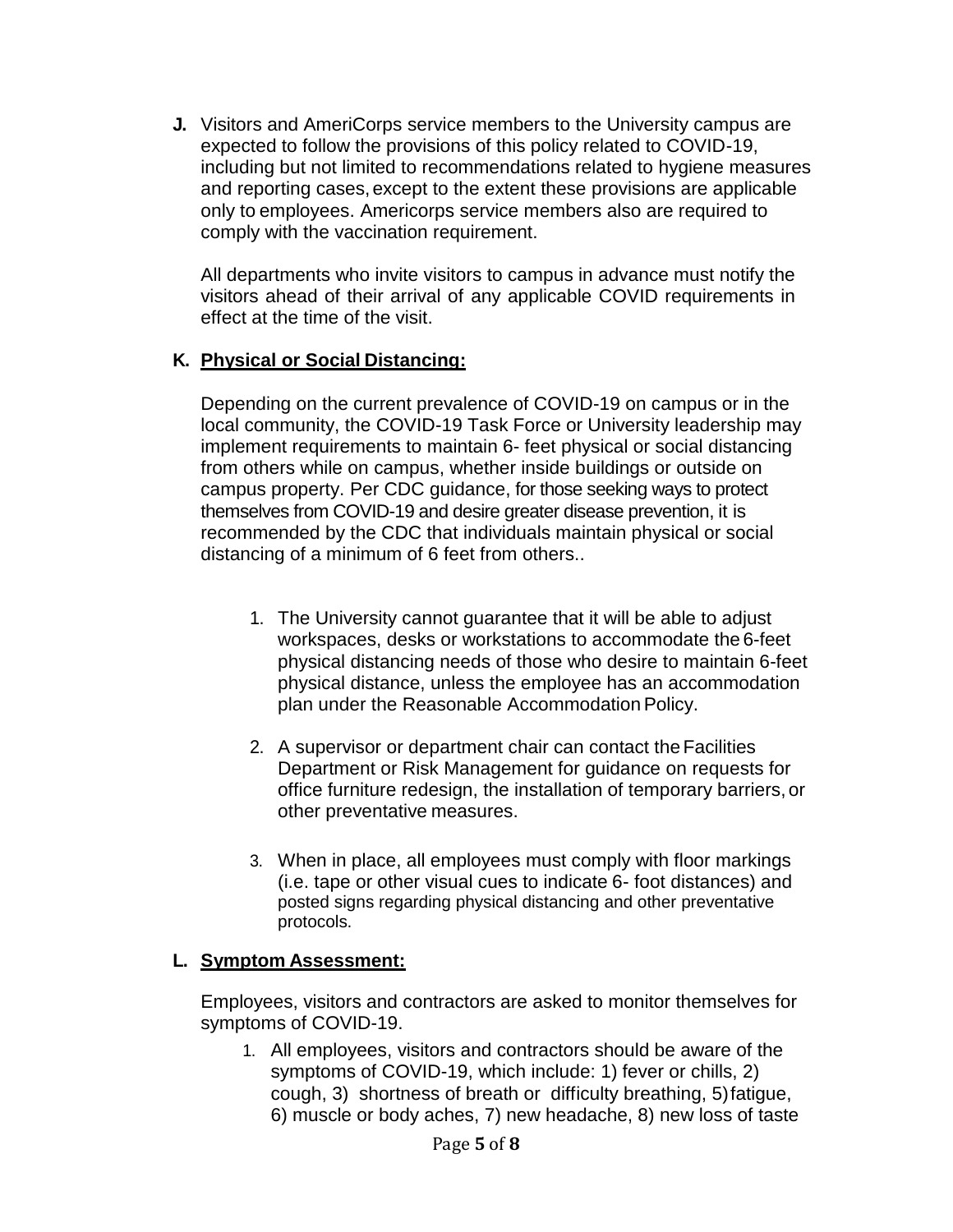**J.** Visitors and AmeriCorps service members to the University campus are expected to follow the provisions of this policy related to COVID-19, including but not limited to recommendations related to hygiene measures and reporting cases, except to the extent these provisions are applicable only to employees. Americorps service members also are required to comply with the vaccination requirement.

All departments who invite visitors to campus in advance must notify the visitors ahead of their arrival of any applicable COVID requirements in effect at the time of the visit.

#### **K. Physical or Social Distancing:**

Depending on the current prevalence of COVID-19 on campus or in the local community, the COVID-19 Task Force or University leadership may implement requirements to maintain 6- feet physical or social distancing from others while on campus, whether inside buildings or outside on campus property. Per CDC guidance, for those seeking ways to protect themselves from COVID-19 and desire greater disease prevention, it is recommended by the CDC that individuals maintain physical or social distancing of a minimum of 6 feet from others..

- 1. The University cannot guarantee that it will be able to adjust workspaces, desks or workstations to accommodate the 6-feet physical distancing needs of those who desire to maintain 6-feet physical distance, unless the employee has an accommodation plan under the Reasonable Accommodation Policy.
- 2. A supervisor or department chair can contact the Facilities Department or Risk Management for guidance on requests for office furniture redesign, the installation of temporary barriers, or other preventative measures.
- 3. When in place, all employees must comply with floor markings (i.e. tape or other visual cues to indicate 6- foot distances) and posted signs regarding physical distancing and other preventative protocols.

#### **L. Symptom Assessment:**

Employees, visitors and contractors are asked to monitor themselves for symptoms of COVID-19.

1. All employees, visitors and contractors should be aware of the symptoms of COVID-19, which include: 1) fever or chills, 2) cough, 3) shortness of breath or difficulty breathing, 5)fatigue, 6) muscle or body aches, 7) new headache, 8) new loss of taste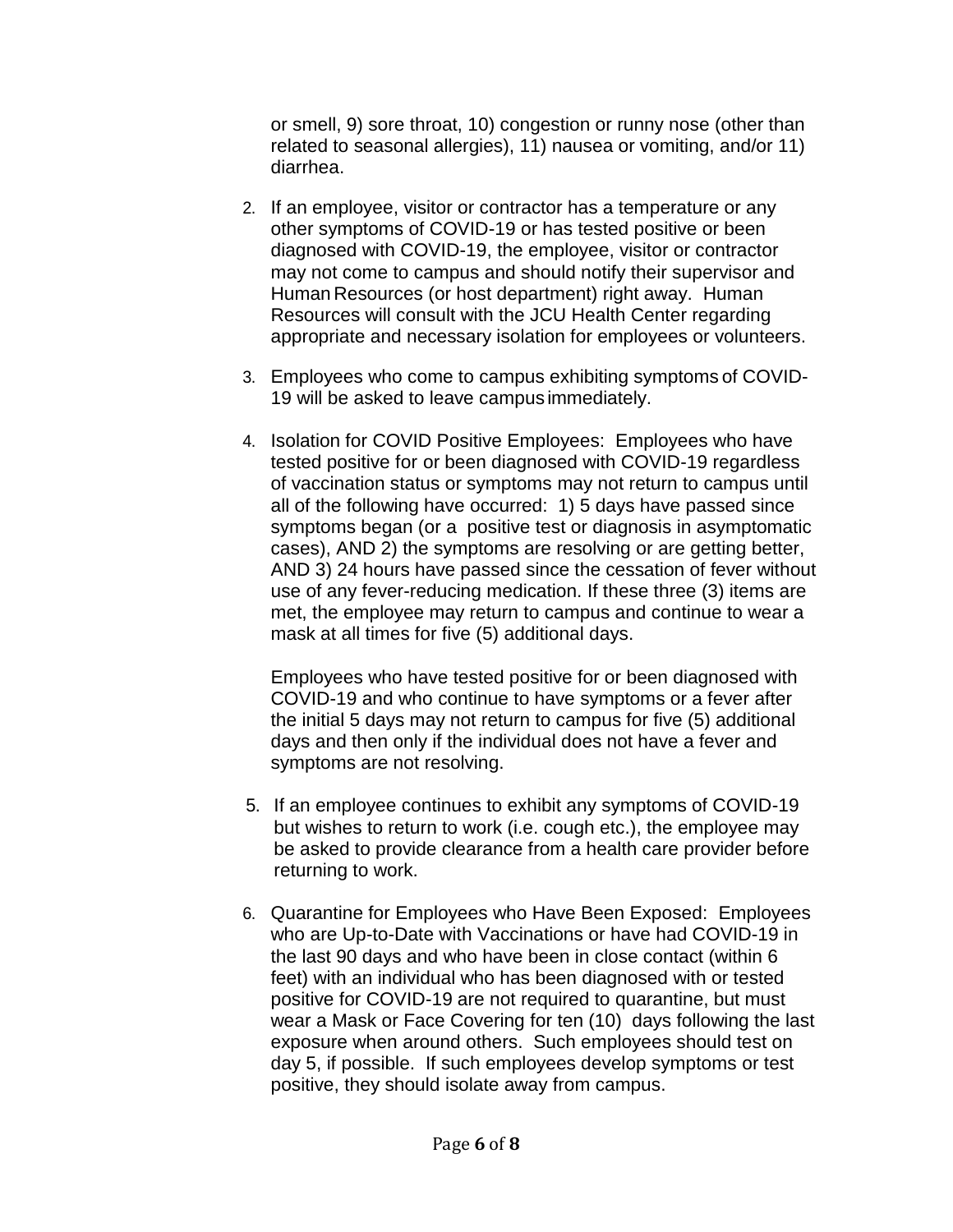or smell, 9) sore throat, 10) congestion or runny nose (other than related to seasonal allergies), 11) nausea or vomiting, and/or 11) diarrhea.

- 2. If an employee, visitor or contractor has a temperature or any other symptoms of COVID-19 or has tested positive or been diagnosed with COVID-19, the employee, visitor or contractor may not come to campus and should notify their supervisor and Human Resources (or host department) right away. Human Resources will consult with the JCU Health Center regarding appropriate and necessary isolation for employees or volunteers.
- 3. Employees who come to campus exhibiting symptoms of COVID-19 will be asked to leave campus immediately.
- 4. Isolation for COVID Positive Employees: Employees who have tested positive for or been diagnosed with COVID-19 regardless of vaccination status or symptoms may not return to campus until all of the following have occurred: 1) 5 days have passed since symptoms began (or a positive test or diagnosis in asymptomatic cases), AND 2) the symptoms are resolving or are getting better, AND 3) 24 hours have passed since the cessation of fever without use of any fever-reducing medication. If these three (3) items are met, the employee may return to campus and continue to wear a mask at all times for five (5) additional days.

Employees who have tested positive for or been diagnosed with COVID-19 and who continue to have symptoms or a fever after the initial 5 days may not return to campus for five (5) additional days and then only if the individual does not have a fever and symptoms are not resolving.

- 5. If an employee continues to exhibit any symptoms of COVID-19 but wishes to return to work (i.e. cough etc.), the employee may be asked to provide clearance from a health care provider before returning to work.
- 6. Quarantine for Employees who Have Been Exposed: Employees who are Up-to-Date with Vaccinations or have had COVID-19 in the last 90 days and who have been in close contact (within 6 feet) with an individual who has been diagnosed with or tested positive for COVID-19 are not required to quarantine, but must wear a Mask or Face Covering for ten (10) days following the last exposure when around others. Such employees should test on day 5, if possible. If such employees develop symptoms or test positive, they should isolate away from campus.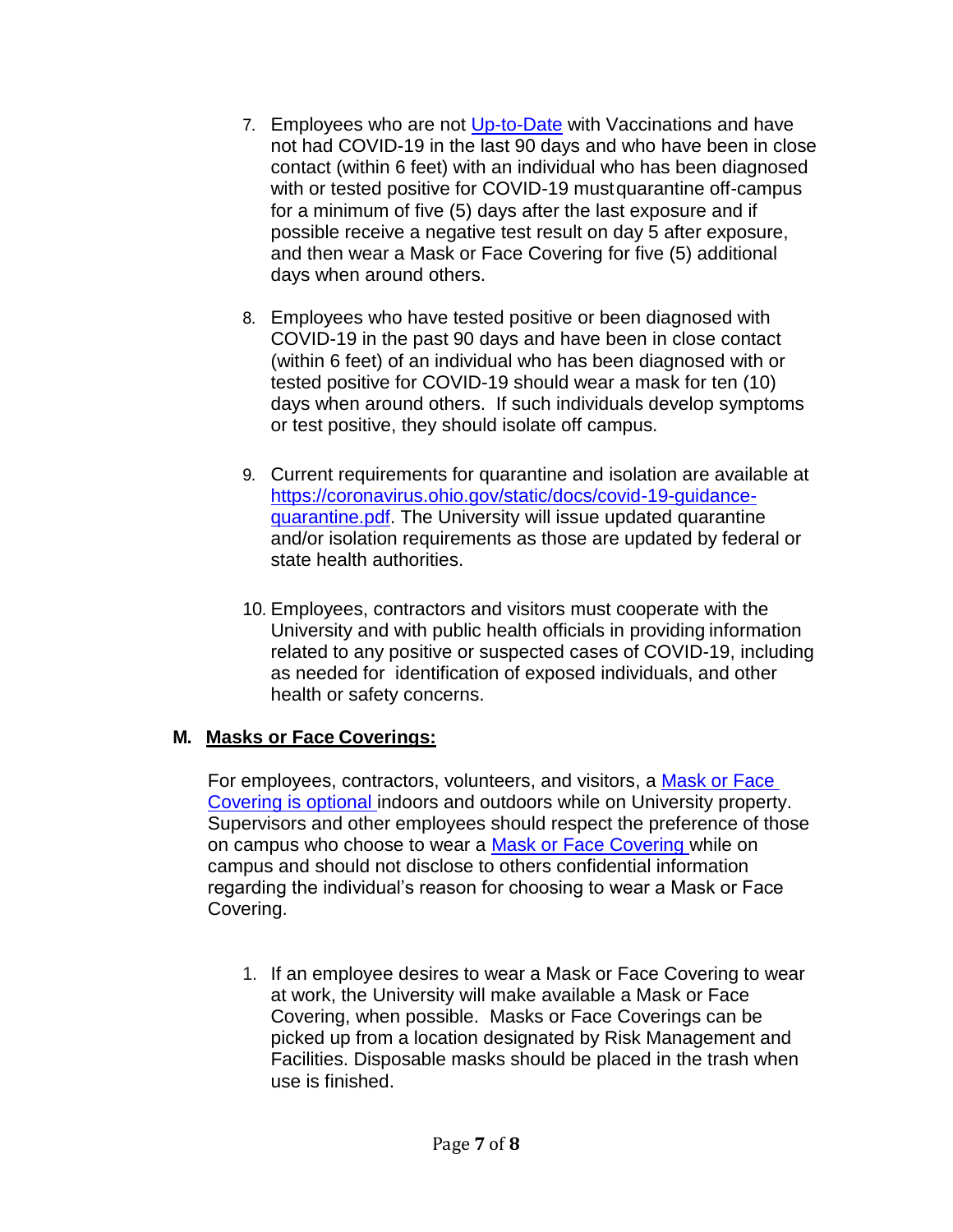- 7. Employees who are not [Up-to-Date](#page-1-3) with Vaccinations and have not had COVID-19 in the last 90 days and who have been in close contact (within 6 feet) with an individual who has been diagnosed with or tested positive for COVID-19 mustquarantine off-campus for a minimum of five (5) days after the last exposure and if possible receive a negative test result on day 5 after exposure, and then wear a Mask or Face Covering for five (5) additional days when around others.
- 8. Employees who have tested positive or been diagnosed with COVID-19 in the past 90 days and have been in close contact (within 6 feet) of an individual who has been diagnosed with or tested positive for COVID-19 should wear a mask for ten (10) days when around others. If such individuals develop symptoms or test positive, they should isolate off campus.
- 9. Current requirements for quarantine and isolation are available at [https://coronavirus.ohio.gov/static/docs/covid-19-guidance](https://coronavirus.ohio.gov/static/docs/covid-19-guidance-quarantine.pdf)[quarantine.pdf.](https://coronavirus.ohio.gov/static/docs/covid-19-guidance-quarantine.pdf) The University will issue updated quarantine and/or isolation requirements as those are updated by federal or state health authorities.
- 10. Employees, contractors and visitors must cooperate with the University and with public health officials in providing information related to any positive or suspected cases of COVID-19, including as needed for identification of exposed individuals, and other health or safety concerns.

## <span id="page-6-0"></span>**M. Masks or Face Coverings:**

For employees, contractors, volunteers, and visitors, a [Mask or Face](#page-6-0)  [Covering i](#page-6-0)s optional indoors and outdoors while on University property. Supervisors and other employees should respect the preference of those on campus who choose to wear a [Mask or Face Covering w](#page-1-1)hile on campus and should not disclose to others confidential information regarding the individual's reason for choosing to wear a Mask or Face Covering.

1. If an employee desires to wear a Mask or Face Covering to wear at work, the University will make available a Mask or Face Covering, when possible. Masks or Face Coverings can be picked up from a location designated by Risk Management and Facilities. Disposable masks should be placed in the trash when use is finished.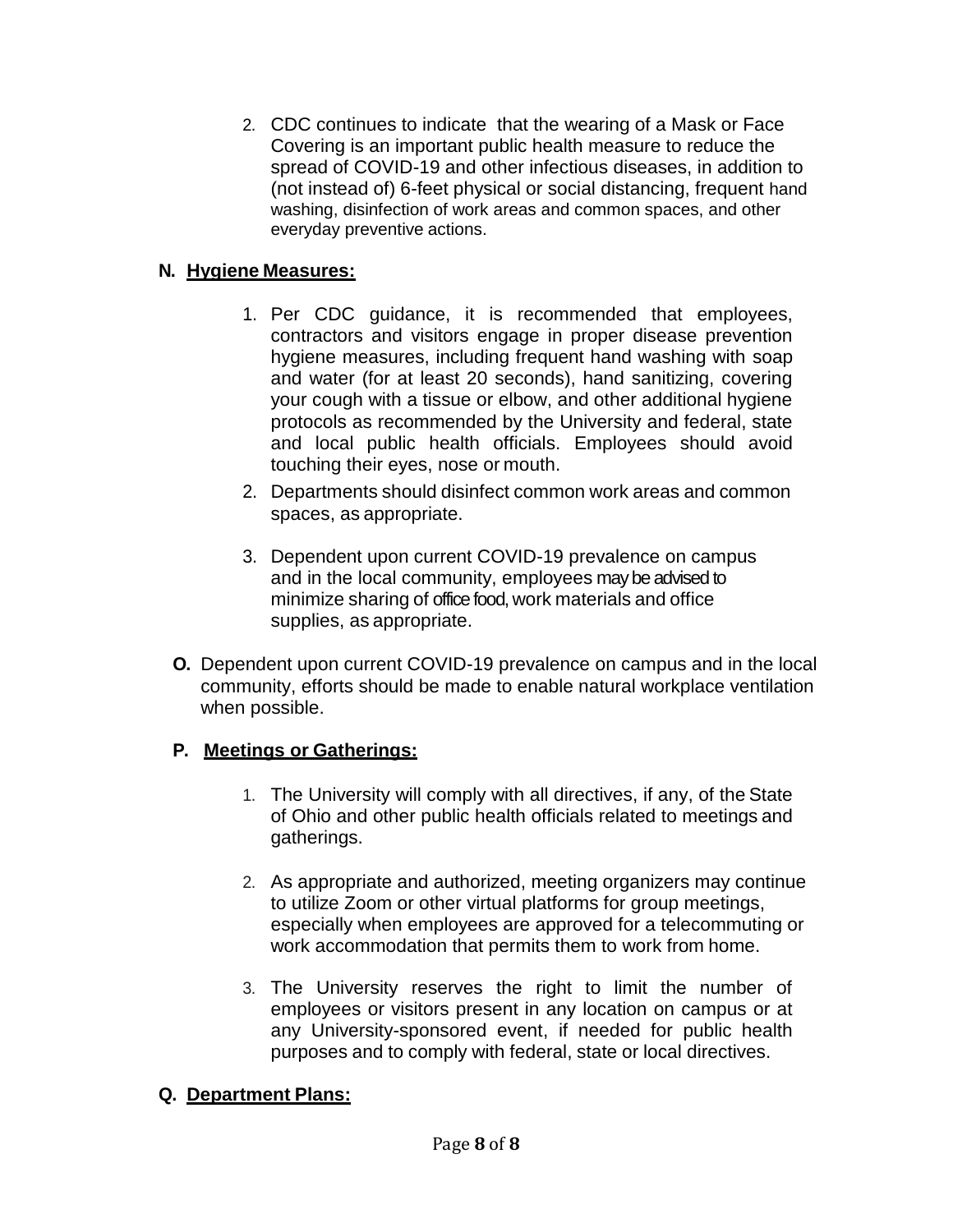2. CDC continues to indicate that the wearing of a Mask or Face Covering is an important public health measure to reduce the spread of COVID-19 and other infectious diseases, in addition to (not instead of) 6-feet physical or social distancing, frequent hand washing, disinfection of work areas and common spaces, and other everyday preventive actions.

#### **N. Hygiene Measures:**

- 1. Per CDC guidance, it is recommended that employees, contractors and visitors engage in proper disease prevention hygiene measures, including frequent hand washing with soap and water (for at least 20 seconds), hand sanitizing, covering your cough with a tissue or elbow, and other additional hygiene protocols as recommended by the University and federal, state and local public health officials. Employees should avoid touching their eyes, nose or mouth.
- 2. Departments should disinfect common work areas and common spaces, as appropriate.
- 3. Dependent upon current COVID-19 prevalence on campus and in the local community, employees may be advised to minimize sharing of office food, work materials and office supplies, as appropriate.
- **O.** Dependent upon current COVID-19 prevalence on campus and in the local community, efforts should be made to enable natural workplace ventilation when possible.

## **P. Meetings or Gatherings:**

- 1. The University will comply with all directives, if any, of the State of Ohio and other public health officials related to meetings and gatherings.
- 2. As appropriate and authorized, meeting organizers may continue to utilize Zoom or other virtual platforms for group meetings, especially when employees are approved for a telecommuting or work accommodation that permits them to work from home.
- 3. The University reserves the right to limit the number of employees or visitors present in any location on campus or at any University-sponsored event, if needed for public health purposes and to comply with federal, state or local directives.

## **Q. Department Plans:**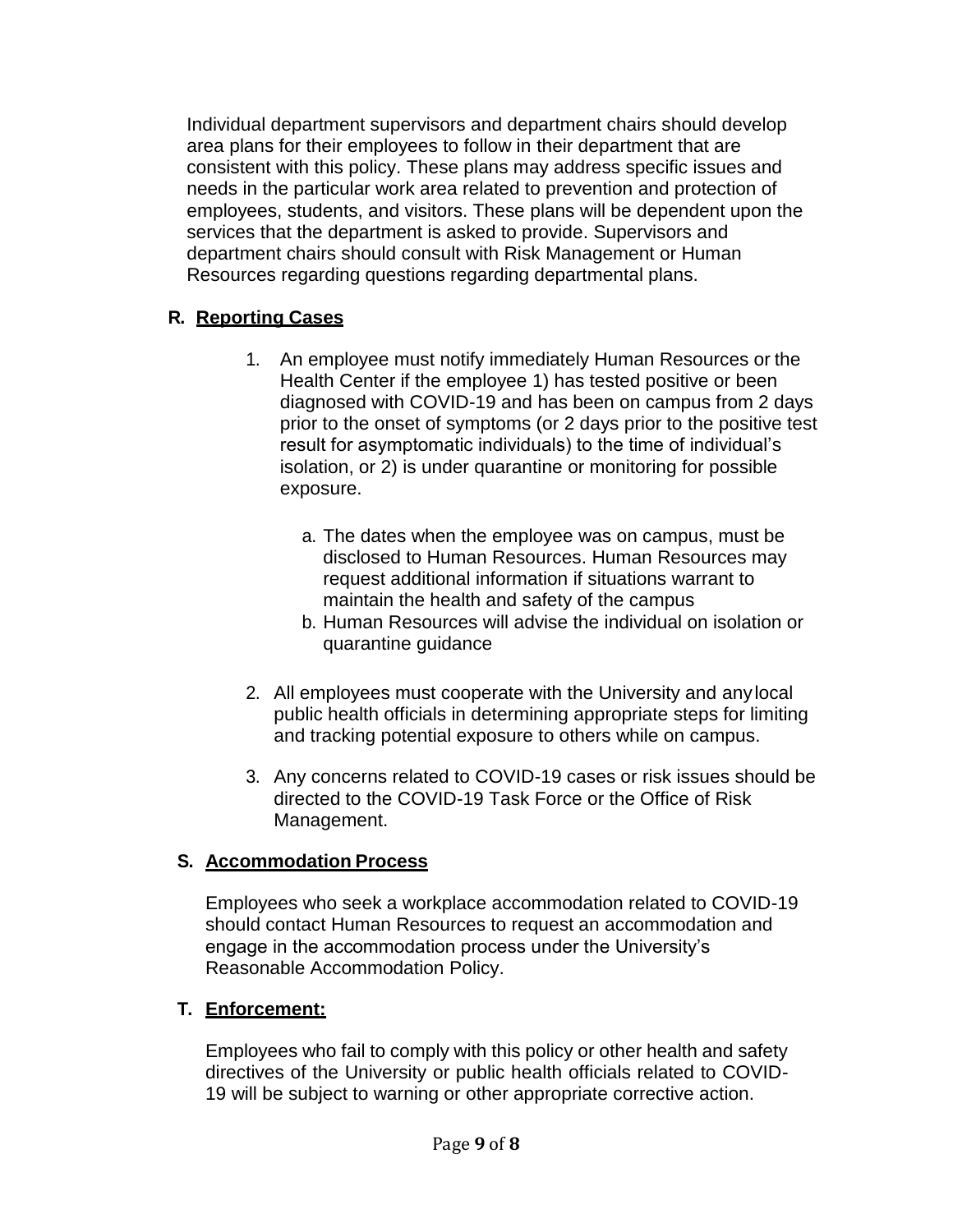Individual department supervisors and department chairs should develop area plans for their employees to follow in their department that are consistent with this policy. These plans may address specific issues and needs in the particular work area related to prevention and protection of employees, students, and visitors. These plans will be dependent upon the services that the department is asked to provide. Supervisors and department chairs should consult with Risk Management or Human Resources regarding questions regarding departmental plans.

#### **R. Reporting Cases**

- 1. An employee must notify immediately Human Resources or the Health Center if the employee 1) has tested positive or been diagnosed with COVID-19 and has been on campus from 2 days prior to the onset of symptoms (or 2 days prior to the positive test result for asymptomatic individuals) to the time of individual's isolation, or 2) is under quarantine or monitoring for possible exposure.
	- a. The dates when the employee was on campus, must be disclosed to Human Resources. Human Resources may request additional information if situations warrant to maintain the health and safety of the campus
	- b. Human Resources will advise the individual on isolation or quarantine guidance
- 2. All employees must cooperate with the University and anylocal public health officials in determining appropriate steps for limiting and tracking potential exposure to others while on campus.
- 3. Any concerns related to COVID-19 cases or risk issues should be directed to the COVID-19 Task Force or the Office of Risk Management.

#### **S. Accommodation Process**

Employees who seek a workplace accommodation related to COVID-19 should contact Human Resources to request an accommodation and engage in the accommodation process under the University's Reasonable Accommodation Policy.

## **T. Enforcement:**

Employees who fail to comply with this policy or other health and safety directives of the University or public health officials related to COVID-19 will be subject to warning or other appropriate corrective action.